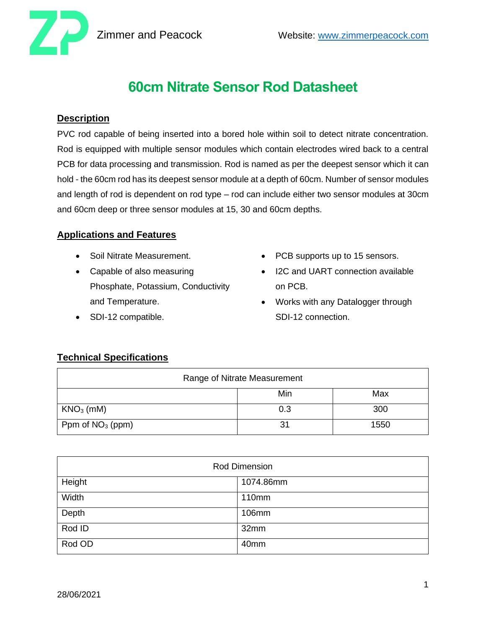

# **60cm Nitrate Sensor Rod Datasheet**

#### **Description**

PVC rod capable of being inserted into a bored hole within soil to detect nitrate concentration. Rod is equipped with multiple sensor modules which contain electrodes wired back to a central PCB for data processing and transmission. Rod is named as per the deepest sensor which it can hold - the 60cm rod has its deepest sensor module at a depth of 60cm. Number of sensor modules and length of rod is dependent on rod type – rod can include either two sensor modules at 30cm and 60cm deep or three sensor modules at 15, 30 and 60cm depths.

### **Applications and Features**

- Soil Nitrate Measurement.
- Capable of also measuring Phosphate, Potassium, Conductivity and Temperature.
- SDI-12 compatible.
- PCB supports up to 15 sensors.
- I2C and UART connection available on PCB.
- Works with any Datalogger through SDI-12 connection.

## **Technical Specifications**

| Range of Nitrate Measurement |     |      |  |
|------------------------------|-----|------|--|
|                              | Min | Max  |  |
| $KNO3$ (mM)                  | 0.3 | 300  |  |
| Ppm of $NO3$ (ppm)           |     | 1550 |  |

| <b>Rod Dimension</b> |           |  |
|----------------------|-----------|--|
| Height               | 1074.86mm |  |
| Width                | 110mm     |  |
| Depth                | 106mm     |  |
| Rod ID               | 32mm      |  |
| Rod OD               | 40mm      |  |